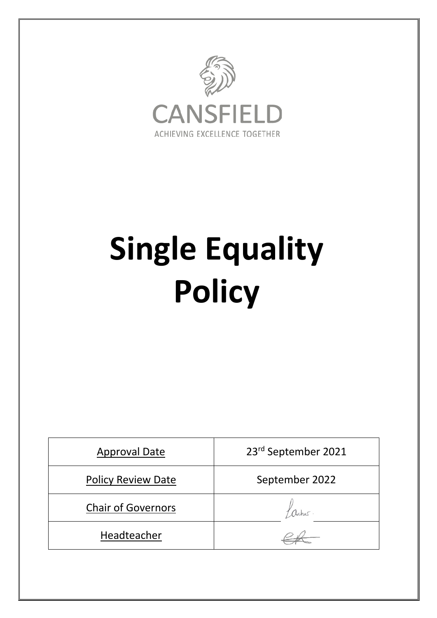

# **Single Equality Policy**

| <b>Approval Date</b>      | 23rd September 2021 |
|---------------------------|---------------------|
| <b>Policy Review Date</b> | September 2022      |
| <b>Chair of Governors</b> |                     |
| Headteacher               |                     |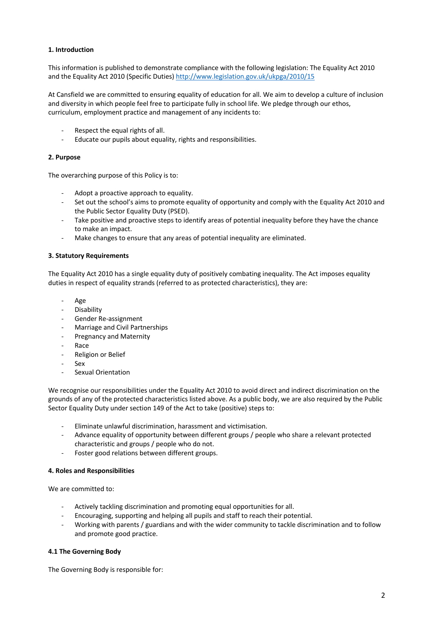# **1. Introduction**

This information is published to demonstrate compliance with the following legislation: The Equality Act 2010 and the Equality Act 2010 (Specific Duties) http://www.legislation.gov.uk/ukpga/2010/15

At Cansfield we are committed to ensuring equality of education for all. We aim to develop a culture of inclusion and diversity in which people feel free to participate fully in school life. We pledge through our ethos, curriculum, employment practice and management of any incidents to:

- Respect the equal rights of all.
- Educate our pupils about equality, rights and responsibilities.

## **2. Purpose**

The overarching purpose of this Policy is to:

- Adopt a proactive approach to equality.
- Set out the school's aims to promote equality of opportunity and comply with the Equality Act 2010 and the Public Sector Equality Duty (PSED).
- Take positive and proactive steps to identify areas of potential inequality before they have the chance to make an impact.
- Make changes to ensure that any areas of potential inequality are eliminated.

### **3. Statutory Requirements**

The Equality Act 2010 has a single equality duty of positively combating inequality. The Act imposes equality duties in respect of equality strands (referred to as protected characteristics), they are:

- Age
- Disability
- Gender Re-assignment
- Marriage and Civil Partnerships
- Pregnancy and Maternity
- Race
- Religion or Belief
- Sex
- Sexual Orientation

We recognise our responsibilities under the Equality Act 2010 to avoid direct and indirect discrimination on the grounds of any of the protected characteristics listed above. As a public body, we are also required by the Public Sector Equality Duty under section 149 of the Act to take (positive) steps to:

- Eliminate unlawful discrimination, harassment and victimisation.
- Advance equality of opportunity between different groups / people who share a relevant protected characteristic and groups / people who do not.
- Foster good relations between different groups.

## **4. Roles and Responsibilities**

We are committed to:

- Actively tackling discrimination and promoting equal opportunities for all.
- Encouraging, supporting and helping all pupils and staff to reach their potential.
- Working with parents / guardians and with the wider community to tackle discrimination and to follow and promote good practice.

## **4.1 The Governing Body**

The Governing Body is responsible for: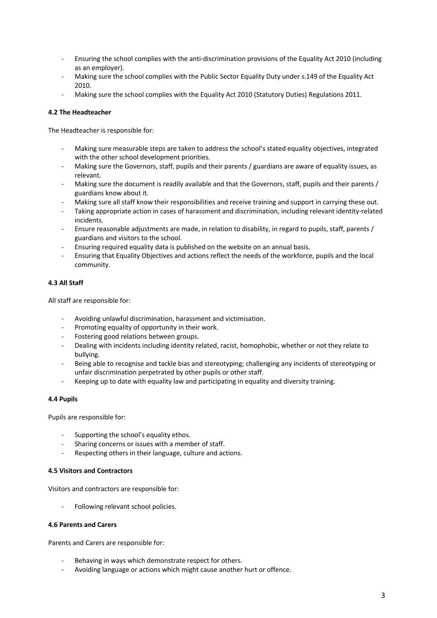- Ensuring the school complies with the anti-discrimination provisions of the Equality Act 2010 (including as an employer).
- Making sure the school complies with the Public Sector Equality Duty under s.149 of the Equality Act 2010.
- Making sure the school complies with the Equality Act 2010 (Statutory Duties) Regulations 2011.

# **4.2 The Headteacher**

The Headteacher is responsible for:

- Making sure measurable steps are taken to address the school's stated equality objectives, integrated with the other school development priorities.
- Making sure the Governors, staff, pupils and their parents / guardians are aware of equality issues, as relevant.
- Making sure the document is readily available and that the Governors, staff, pupils and their parents / guardians know about it.
- Making sure all staff know their responsibilities and receive training and support in carrying these out.
- Taking appropriate action in cases of harassment and discrimination, including relevant identity-related incidents.
- Ensure reasonable adjustments are made, in relation to disability, in regard to pupils, staff, parents / guardians and visitors to the school.
- Ensuring required equality data is published on the website on an annual basis.
- Ensuring that Equality Objectives and actions reflect the needs of the workforce, pupils and the local community.

# **4.3 All Staff**

All staff are responsible for:

- Avoiding unlawful discrimination, harassment and victimisation.
- Promoting equality of opportunity in their work.
- Fostering good relations between groups.
- Dealing with incidents including identity related, racist, homophobic, whether or not they relate to bullying.
- Being able to recognise and tackle bias and stereotyping; challenging any incidents of stereotyping or unfair discrimination perpetrated by other pupils or other staff.
- Keeping up to date with equality law and participating in equality and diversity training.

## **4.4 Pupils**

Pupils are responsible for:

- Supporting the school's equality ethos.
- Sharing concerns or issues with a member of staff.
- Respecting others in their language, culture and actions.

# **4.5 Visitors and Contractors**

Visitors and contractors are responsible for:

Following relevant school policies.

## **4.6 Parents and Carers**

Parents and Carers are responsible for:

- Behaving in ways which demonstrate respect for others.
- Avoiding language or actions which might cause another hurt or offence.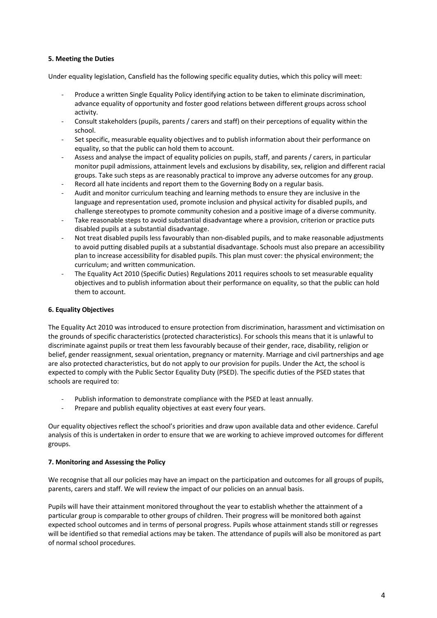# **5. Meeting the Duties**

Under equality legislation, Cansfield has the following specific equality duties, which this policy will meet:

- Produce a written Single Equality Policy identifying action to be taken to eliminate discrimination, advance equality of opportunity and foster good relations between different groups across school activity.
- Consult stakeholders (pupils, parents / carers and staff) on their perceptions of equality within the school.
- Set specific, measurable equality objectives and to publish information about their performance on equality, so that the public can hold them to account.
- Assess and analyse the impact of equality policies on pupils, staff, and parents / carers, in particular monitor pupil admissions, attainment levels and exclusions by disability, sex, religion and different racial groups. Take such steps as are reasonably practical to improve any adverse outcomes for any group.
- Record all hate incidents and report them to the Governing Body on a regular basis.
- Audit and monitor curriculum teaching and learning methods to ensure they are inclusive in the language and representation used, promote inclusion and physical activity for disabled pupils, and challenge stereotypes to promote community cohesion and a positive image of a diverse community.
- Take reasonable steps to avoid substantial disadvantage where a provision, criterion or practice puts disabled pupils at a substantial disadvantage.
- Not treat disabled pupils less favourably than non-disabled pupils, and to make reasonable adjustments to avoid putting disabled pupils at a substantial disadvantage. Schools must also prepare an accessibility plan to increase accessibility for disabled pupils. This plan must cover: the physical environment; the curriculum; and written communication.
- The Equality Act 2010 (Specific Duties) Regulations 2011 requires schools to set measurable equality objectives and to publish information about their performance on equality, so that the public can hold them to account.

# **6. Equality Objectives**

The Equality Act 2010 was introduced to ensure protection from discrimination, harassment and victimisation on the grounds of specific characteristics (protected characteristics). For schools this means that it is unlawful to discriminate against pupils or treat them less favourably because of their gender, race, disability, religion or belief, gender reassignment, sexual orientation, pregnancy or maternity. Marriage and civil partnerships and age are also protected characteristics, but do not apply to our provision for pupils. Under the Act, the school is expected to comply with the Public Sector Equality Duty (PSED). The specific duties of the PSED states that schools are required to:

- Publish information to demonstrate compliance with the PSED at least annually.
- Prepare and publish equality objectives at east every four years.

Our equality objectives reflect the school's priorities and draw upon available data and other evidence. Careful analysis of this is undertaken in order to ensure that we are working to achieve improved outcomes for different groups.

## **7. Monitoring and Assessing the Policy**

We recognise that all our policies may have an impact on the participation and outcomes for all groups of pupils, parents, carers and staff. We will review the impact of our policies on an annual basis.

Pupils will have their attainment monitored throughout the year to establish whether the attainment of a particular group is comparable to other groups of children. Their progress will be monitored both against expected school outcomes and in terms of personal progress. Pupils whose attainment stands still or regresses will be identified so that remedial actions may be taken. The attendance of pupils will also be monitored as part of normal school procedures.